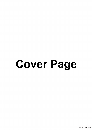# Cover Page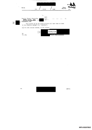

 $M$ - $P$ 

 $[$ mathbf{P}.\mathbf{T}.0.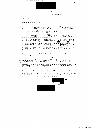Special Branch

### 17th January 1984

ا 4 :

## MEMORANDUM

### Chief Superintendent 'S' Squad

1. On Friday 13th January, 1984, Detective Constable [THN12 ] a Special Demonstration Squad Officer working under the assumed name of Michael HARTLEY within the Revolutionary Communist Group (RCG), was arrested by police from Highbury Vale Police Station for illegal bill posting.

•

 $\underline{\phantom{a}}$ **Example 2. The circumstances were that DCI HN12 and Privacy** unemployed of Privacy i an RCG 'comrade', had been directed<br>by committee members of the RCG 'Tront' organisation Irish Solidarity Movement, to afix posters on appropriate premises in Holloway Road N19 (a normal acfivity for a group of this nature) advertising a forthcoming "Week of Action" concerning<br>informers in Ireland. At 8.30 pm that evening PC  $\left[5a\right]$  and PC  $\left[5b\right]$ , on patrol in a marked police vehicle, apprehended both individuals in the act of pasting posters to a hoarding in Holloway Road, N19. DC HAM2 and Privacy were L.S. arrested, taken to Highbury Vale Police Station and charged with "that you did on Friday 13th January, 1984, afix a posting bill at Holloway Road N19, without the consent of the owner - contrary to Section  $54(10)$  Metropolitan Police Act, 1839."

3. Both were detained in individual cells until bailed at 11.05 pm to appear the following morning at Highbury Corner Magistrates' Court.

<sup>i</sup> 7 4. I was in telephone contact with DC  $HM12$  subsequent to his release and gave him advice on how to handle the situation. As no police officer involved  $\boxed{8}$  knew or was known to DC  $\boxed{\frac{H M 12}{H M 12}}$  nor had enquiry of Special Branch Reserve been made by the arresting officer, I decided to let matters take their normal course and<br><u>person</u>ally monitor the proceedings. Accordingly I was present when DC <mark>[HNI2]</mark>and: I Privacy Jappeared at Highbury Corner Magistrates' Court at 10 am on Saturday 14th -January, 1984. Both pleaded 'guilty' and were fined £5 each.

5. In my opinion, it can be concluded that this matter has been resolved satisfactorily without prejudice to Special Demonstration Squad operations in this particular field, which reflects credit upon the officer concerned. Although an unwelcome experience, the episode has done much to reinforce his position within this particular group of committed 'revolutionaries'.

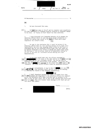|                                                                                                                                                                                             |                                                                                                                                                                                                             |                                         |                                                                                                                                                                                                                                                                                                                                                                                                                                                                                         | No. 477                                                                 |  |
|---------------------------------------------------------------------------------------------------------------------------------------------------------------------------------------------|-------------------------------------------------------------------------------------------------------------------------------------------------------------------------------------------------------------|-----------------------------------------|-----------------------------------------------------------------------------------------------------------------------------------------------------------------------------------------------------------------------------------------------------------------------------------------------------------------------------------------------------------------------------------------------------------------------------------------------------------------------------------------|-------------------------------------------------------------------------|--|
| File No.                                                                                                                                                                                    | 588                                                                                                                                                                                                         | UNREG                                   | 694 Part II                                                                                                                                                                                                                                                                                                                                                                                                                                                                             | Minute<br>Sheet No. ONE                                                 |  |
|                                                                                                                                                                                             |                                                                                                                                                                                                             | 1.                                      |                                                                                                                                                                                                                                                                                                                                                                                                                                                                                         |                                                                         |  |
| SB Memorandum                                                                                                                                                                               |                                                                                                                                                                                                             |                                         |                                                                                                                                                                                                                                                                                                                                                                                                                                                                                         | 14                                                                      |  |
| $_{\underline{\text{DAC}}}$                                                                                                                                                                 |                                                                                                                                                                                                             |                                         |                                                                                                                                                                                                                                                                                                                                                                                                                                                                                         |                                                                         |  |
| 1.                                                                                                                                                                                          | We have discussed this case.                                                                                                                                                                                |                                         |                                                                                                                                                                                                                                                                                                                                                                                                                                                                                         |                                                                         |  |
| 1112.                                                                                                                                                                                       | DC   HN13   was seen on 19.9.77 and his injuries were superficial.<br>An X-Ray examination at Kingston Hospital revealed no permanent damage<br>to his nose. An "injury on duty" report has been submitted. |                                         |                                                                                                                                                                                                                                                                                                                                                                                                                                                                                         |                                                                         |  |
| з.<br>compromise the latter's cover.                                                                                                                                                        |                                                                                                                                                                                                             |                                         | I have discussed with Commander Maybanks of A8 whether the<br>arresting officer should be seen and given enough information to<br>prevent his making some remark to DC [HN13] at Court which might<br>12 j                                                                                                                                                                                                                                                                              |                                                                         |  |
| 4.<br>demonstrations.                                                                                                                                                                       |                                                                                                                                                                                                             |                                         | We came to the conclusion that it would be better if the<br>arresting officer were not told anything because (a) he might still<br>inadvertently let slip some damaging remark either at the Court or<br>afterwards and (b) the arresting officer might feel that there was<br>an implied criticism of his action in making the arrest which given<br>the delicacy of the situation, would be an undesirable feeling to<br>be left in the mind of a uniformed officer dealing with such |                                                                         |  |
| 5.<br>$13^{12}$<br>case that PC                                                                                                                                                             |                                                                                                                                                                                                             |                                         | It has been established that the officer concerned is<br>eight years ago but on a different relief. The two men were on<br>speaking terms but not particularly close friends. It is also the<br>only assisted in the arrest of [ HN13 ] and a<br>"comrade"; two other police officers being the arresting officers,                                                                                                                                                                     | who did serve at the same station as DC $HM13$ some $14$                |  |
| 6.<br>[17] see HHN13 in the Courtroom itself and not prior to the hearing,                                                                                                                  |                                                                                                                                                                                                             | In the circumstances, it may be that PC | an sa Ba<br>so reducing the chances of any damaging confrontation.                                                                                                                                                                                                                                                                                                                                                                                                                      | will only $16$                                                          |  |
| 7.<br>[19] DC [HN13] appears and make known to the arresting officers his interest<br>[20] about DC [HM13] they will express those feelings to DCI Craft and not<br>talk about them openly. |                                                                                                                                                                                                             |                                         | $\parallel$ 18 $\parallel$<br>I shall therefore instruct DCI Craft, to attend Court when<br>in all the defendants as it were a routine case of interest to SB.                                                                                                                                                                                                                                                                                                                          | Thus it will be more likely that if any of the officers have suspicions |  |
|                                                                                                                                                                                             |                                                                                                                                                                                                             |                                         |                                                                                                                                                                                                                                                                                                                                                                                                                                                                                         | $/$ Contd                                                               |  |
| M.P.                                                                                                                                                                                        |                                                                                                                                                                                                             |                                         |                                                                                                                                                                                                                                                                                                                                                                                                                                                                                         | [P.T.O.                                                                 |  |